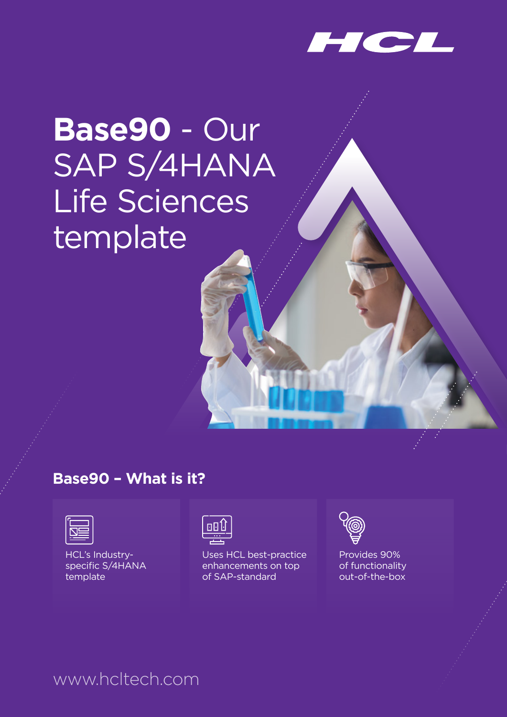

# **Base90** - Our SAP S/4HANA Life Sciences template

#### **Base90 – What is it?**

| .<br><b>Contract Contract Contract Contract Contract Contract Contract Contract Contract Contract Contract Contract C</b> |  |
|---------------------------------------------------------------------------------------------------------------------------|--|

HCL's Industry specific S/4HANA template



Uses HCL best-practice enhancements on top of SAP-standard



Provides 90% of functionality out-of-the-box

#### www.hcltech.com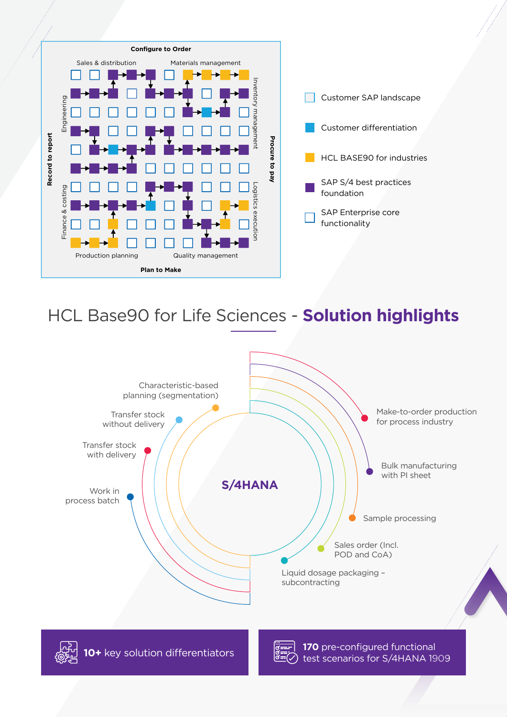

## HCL Base90 for Life Sciences - Solution highlights

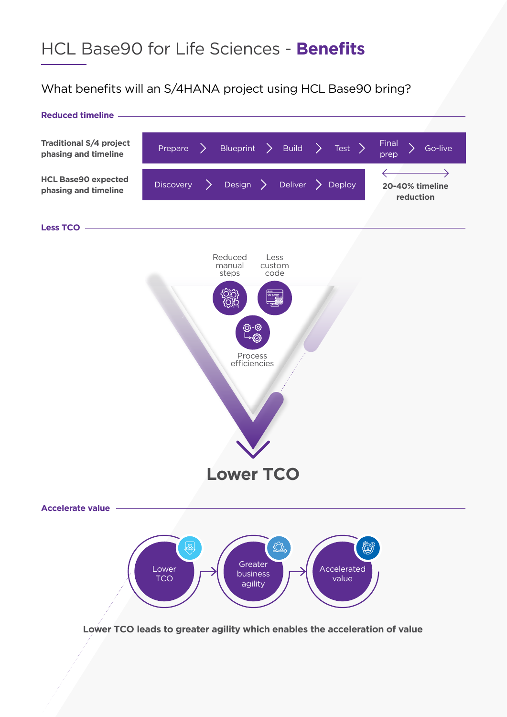# HCL Base90 for Life Sciences - Benefits

#### What benefits will an S/4HANA project using HCL Base90 bring?